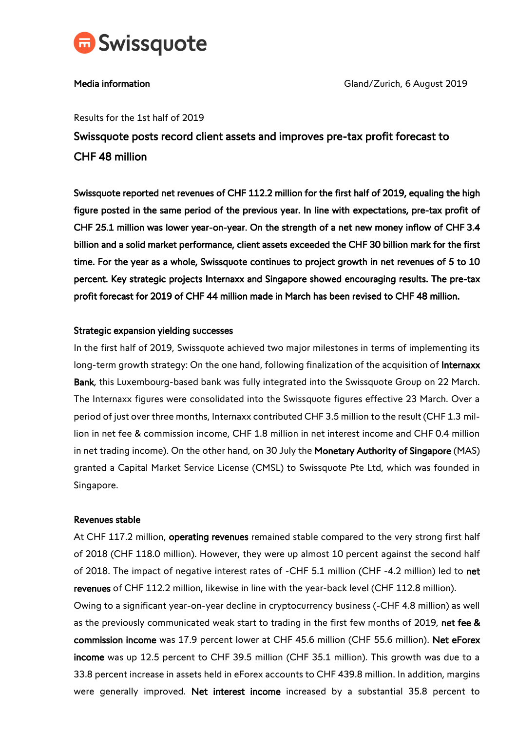

Media information Gland/Zurich, 6 August 2019

#### Results for the 1st half of 2019

Swissquote posts record client assets and improves pre-tax profit forecast to CHF 48 million

Swissquote reported net revenues of CHF 112.2 million for the first half of 2019, equaling the high figure posted in the same period of the previous year. In line with expectations, pre-tax profit of CHF 25.1 million was lower year-on-year. On the strength of a net new money inflow of CHF 3.4 billion and a solid market performance, client assets exceeded the CHF 30 billion mark for the first time. For the year as a whole, Swissquote continues to project growth in net revenues of 5 to 10 percent. Key strategic projects Internaxx and Singapore showed encouraging results. The pre-tax profit forecast for 2019 of CHF 44 million made in March has been revised to CHF 48 million.

## Strategic expansion yielding successes

In the first half of 2019, Swissquote achieved two major milestones in terms of implementing its long-term growth strategy: On the one hand, following finalization of the acquisition of Internaxx Bank, this Luxembourg-based bank was fully integrated into the Swissquote Group on 22 March. The Internaxx figures were consolidated into the Swissquote figures effective 23 March. Over a period of just over three months, Internaxx contributed CHF 3.5 million to the result (CHF 1.3 million in net fee & commission income, CHF 1.8 million in net interest income and CHF 0.4 million in net trading income). On the other hand, on 30 July the Monetary Authority of Singapore (MAS) granted a Capital Market Service License (CMSL) to Swissquote Pte Ltd, which was founded in Singapore.

#### Revenues stable

At CHF 117.2 million, operating revenues remained stable compared to the very strong first half of 2018 (CHF 118.0 million). However, they were up almost 10 percent against the second half of 2018. The impact of negative interest rates of -CHF 5.1 million (CHF -4.2 million) led to net revenues of CHF 112.2 million, likewise in line with the year-back level (CHF 112.8 million).

Owing to a significant year-on-year decline in cryptocurrency business (-CHF 4.8 million) as well as the previously communicated weak start to trading in the first few months of 2019, net fee & commission income was 17.9 percent lower at CHF 45.6 million (CHF 55.6 million). Net eForex income was up 12.5 percent to CHF 39.5 million (CHF 35.1 million). This growth was due to a 33.8 percent increase in assets held in eForex accounts to CHF 439.8 million. In addition, margins were generally improved. Net interest income increased by a substantial 35.8 percent to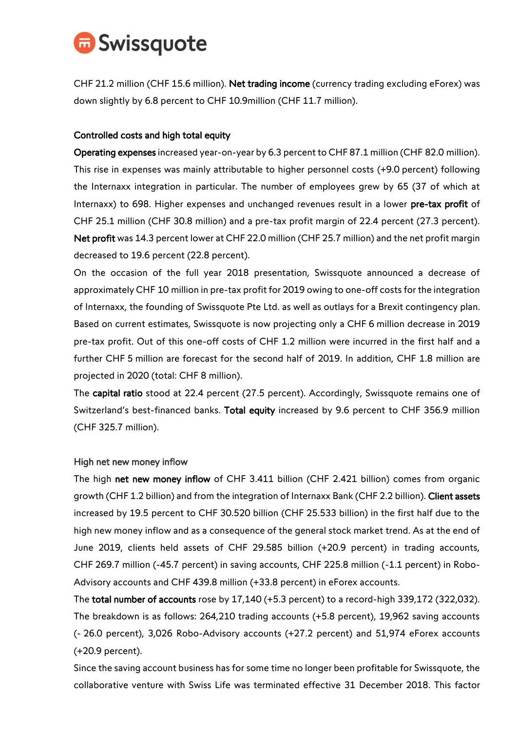

CHF 21.2 million (CHF 15.6 million). Net trading income (currency trading excluding eForex) was down slightly by 6.8 percent to CHF 10.9million (CHF 11.7 million).

# Controlled costs and high total equity

Operating expenses increased year-on-year by 6.3 percent to CHF 87.1 million (CHF 82.0 million). This rise in expenses was mainly attributable to higher personnel costs (+9.0 percent) following the Internaxx integration in particular. The number of employees grew by 65 (37 of which at Internaxx) to 698. Higher expenses and unchanged revenues result in a lower pre-tax profit of CHF 25.1 million (CHF 30.8 million) and a pre-tax profit margin of 22.4 percent (27.3 percent). Net profit was 14.3 percent lower at CHF 22.0 million (CHF 25.7 million) and the net profit margin decreased to 19.6 percent (22.8 percent).

On the occasion of the full year 2018 presentation, Swissquote announced a decrease of approximately CHF 10 million in pre-tax profit for 2019 owing to one-off costs for the integration of Internaxx, the founding of Swissquote Pte Ltd. as well as outlays for a Brexit contingency plan. Based on current estimates, Swissquote is now projecting only a CHF 6 million decrease in 2019 pre-tax profit. Out of this one-off costs of CHF 1.2 million were incurred in the first half and a further CHF 5 million are forecast for the second half of 2019. In addition, CHF 1.8 million are projected in 2020 (total: CHF 8 million).

The capital ratio stood at 22.4 percent (27.5 percent). Accordingly, Swissquote remains one of Switzerland's best-financed banks. Total equity increased by 9.6 percent to CHF 356.9 million (CHF 325.7 million).

## High net new money inflow

The high net new money inflow of CHF 3.411 billion (CHF 2.421 billion) comes from organic growth (CHF 1.2 billion) and from the integration of Internaxx Bank (CHF 2.2 billion). Client assets increased by 19.5 percent to CHF 30.520 billion (CHF 25.533 billion) in the first half due to the high new money inflow and as a consequence of the general stock market trend. As at the end of June 2019, clients held assets of CHF 29.585 billion (+20.9 percent) in trading accounts, CHF 269.7 million (-45.7 percent) in saving accounts, CHF 225.8 million (-1.1 percent) in Robo-Advisory accounts and CHF 439.8 million (+33.8 percent) in eForex accounts.

The total number of accounts rose by 17,140 (+5.3 percent) to a record-high 339,172 (322,032). The breakdown is as follows: 264,210 trading accounts (+5.8 percent), 19,962 saving accounts (- 26.0 percent), 3,026 Robo-Advisory accounts (+27.2 percent) and 51,974 eForex accounts (+20.9 percent).

Since the saving account business has for some time no longer been profitable for Swissquote, the collaborative venture with Swiss Life was terminated effective 31 December 2018. This factor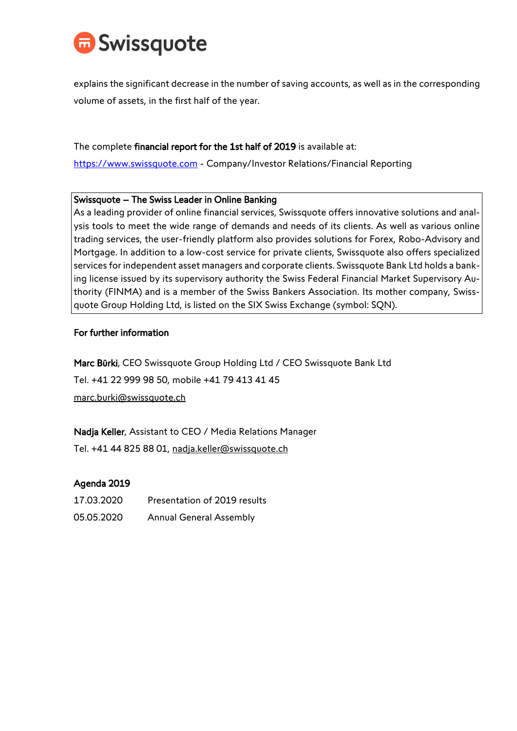

explains the significant decrease in the number of saving accounts, as well as in the corresponding volume of assets, in the first half of the year.

The complete financial report for the 1st half of 2019 is available at:

[https://www.swissquote.com](https://www.swissquote.com/) - Company/Investor Relations/Financial Reporting

## Swissquote – The Swiss Leader in Online Banking

As a leading provider of online financial services, Swissquote offers innovative solutions and analysis tools to meet the wide range of demands and needs of its clients. As well as various online trading services, the user-friendly platform also provides solutions for Forex, Robo-Advisory and Mortgage. In addition to a low-cost service for private clients, Swissquote also offers specialized services for independent asset managers and corporate clients. Swissquote Bank Ltd holds a banking license issued by its supervisory authority the Swiss Federal Financial Market Supervisory Authority (FINMA) and is a member of the Swiss Bankers Association. Its mother company, Swissquote Group Holding Ltd, is listed on the SIX Swiss Exchange (symbol: SQN).

# For further information

Marc Bürki, CEO Swissquote Group Holding Ltd / CEO Swissquote Bank Ltd Tel. +41 22 999 98 50, mobile +41 79 413 41 45 marc.burki@swissquote.ch

Nadja Keller, Assistant to CEO / Media Relations Manager

Tel. +41 44 825 88 01, nadja.keller@swissquote.ch

# Agenda 2019

| 17.03.2020 | Presentation of 2019 results   |
|------------|--------------------------------|
| 05.05.2020 | <b>Annual General Assembly</b> |